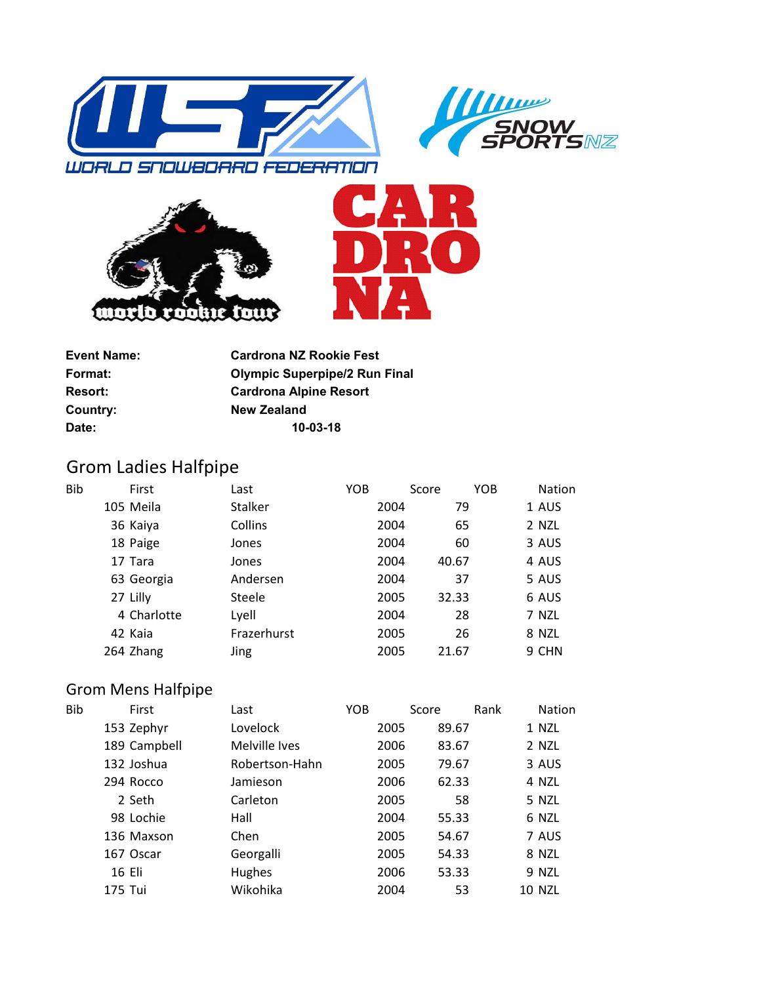







| <b>Olympic Superpipe/2 Run Final</b> |
|--------------------------------------|
|                                      |
|                                      |
|                                      |
| <b>Cardrona NZ Rookie Fest</b>       |

## Grom Ladies Halfpipe

| <b>Bib</b> | First       | Last           | YOB |      | Score | <b>YOB</b> | <b>Nation</b> |
|------------|-------------|----------------|-----|------|-------|------------|---------------|
|            | 105 Meila   | <b>Stalker</b> |     | 2004 | 79    |            | 1 AUS         |
|            | 36 Kaiya    | Collins        |     | 2004 | 65    |            | 2 NZL         |
|            | 18 Paige    | Jones          |     | 2004 | 60    |            | 3 AUS         |
|            | 17 Tara     | Jones          |     | 2004 | 40.67 |            | 4 AUS         |
|            | 63 Georgia  | Andersen       |     | 2004 | 37    |            | 5 AUS         |
|            | 27 Lilly    | Steele         |     | 2005 | 32.33 |            | 6 AUS         |
|            | 4 Charlotte | Lyell          |     | 2004 | 28    |            | 7 NZL         |
|            | 42 Kaia     | Frazerhurst    |     | 2005 | 26    |            | 8 NZL         |
|            | 264 Zhang   | Jing           |     | 2005 | 21.67 |            | 9 CHN         |

## Grom Mens Halfpipe

| Bib | First        | Last           | <b>YOB</b> | Score | Rank          | Nation |
|-----|--------------|----------------|------------|-------|---------------|--------|
|     | 153 Zephyr   | Lovelock       | 2005       | 89.67 | 1 NZL         |        |
|     | 189 Campbell | Melville Ives  | 2006       | 83.67 | 2 NZL         |        |
|     | 132 Joshua   | Robertson-Hahn | 2005       | 79.67 |               | 3 AUS  |
|     | 294 Rocco    | Jamieson       | 2006       | 62.33 | 4 NZL         |        |
|     | 2 Seth       | Carleton       | 2005       | 58    | 5 NZL         |        |
|     | 98 Lochie    | Hall           | 2004       | 55.33 |               | 6 NZL  |
|     | 136 Maxson   | Chen           | 2005       | 54.67 |               | 7 AUS  |
|     | 167 Oscar    | Georgalli      | 2005       | 54.33 | 8 NZL         |        |
|     | 16 Eli       | Hughes         | 2006       | 53.33 | 9 NZL         |        |
|     | 175 Tui      | Wikohika       | 2004       | 53    | <b>10 NZL</b> |        |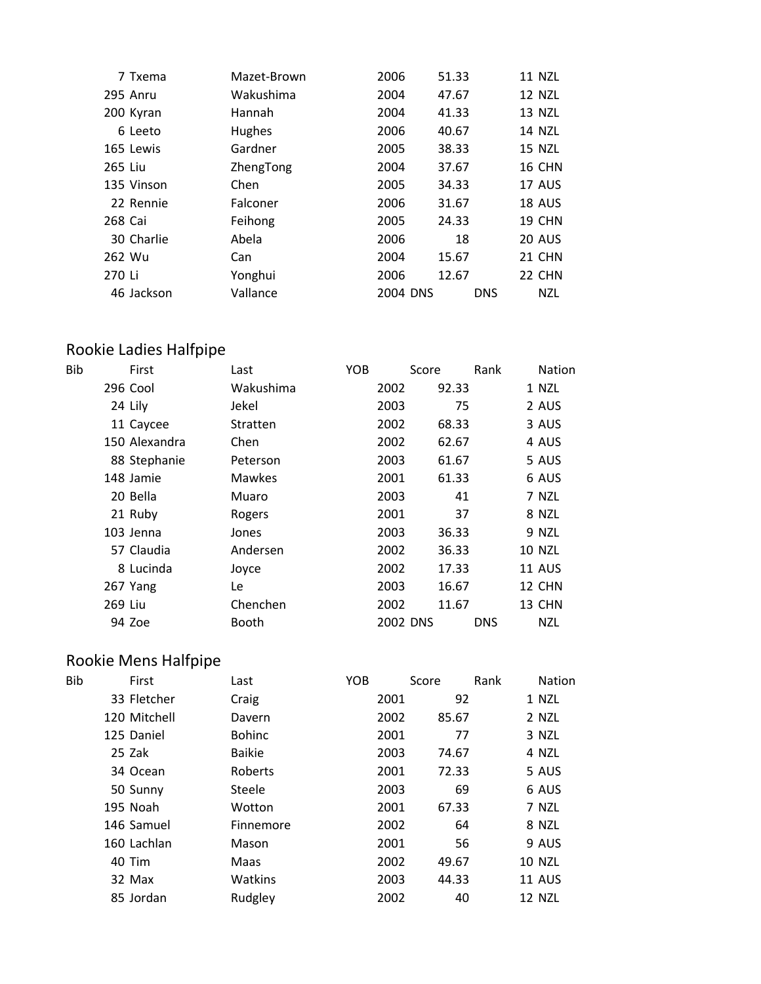|         | 7 Txema    | Mazet-Brown | 2006     | 51.33      | <b>11 NZL</b> |
|---------|------------|-------------|----------|------------|---------------|
|         | 295 Anru   | Wakushima   | 2004     | 47.67      | <b>12 NZL</b> |
|         | 200 Kyran  | Hannah      | 2004     | 41.33      | 13 NZL        |
|         | 6 Leeto    | Hughes      | 2006     | 40.67      | <b>14 NZL</b> |
|         | 165 Lewis  | Gardner     | 2005     | 38.33      | 15 NZL        |
| 265 Liu |            | ZhengTong   | 2004     | 37.67      | <b>16 CHN</b> |
|         | 135 Vinson | Chen        | 2005     | 34.33      | 17 AUS        |
|         | 22 Rennie  | Falconer    | 2006     | 31.67      | <b>18 AUS</b> |
| 268 Cai |            | Feihong     | 2005     | 24.33      | <b>19 CHN</b> |
|         | 30 Charlie | Abela       | 2006     | 18         | <b>20 AUS</b> |
| 262 Wu  |            | Can         | 2004     | 15.67      | 21 CHN        |
| 270 Li  |            | Yonghui     | 2006     | 12.67      | 22 CHN        |
|         | 46 Jackson | Vallance    | 2004 DNS | <b>DNS</b> | <b>NZL</b>    |

## Rookie Ladies Halfpipe

| Bib |         | First         | Last          | <b>YOB</b> |          | Score | Rank       | <b>Nation</b> |
|-----|---------|---------------|---------------|------------|----------|-------|------------|---------------|
|     |         | 296 Cool      | Wakushima     |            | 2002     | 92.33 |            | 1 NZL         |
|     |         | 24 Lily       | Jekel         |            | 2003     | 75    |            | 2 AUS         |
|     |         | 11 Caycee     | Stratten      |            | 2002     | 68.33 |            | 3 AUS         |
|     |         | 150 Alexandra | Chen          |            | 2002     | 62.67 |            | 4 AUS         |
|     |         | 88 Stephanie  | Peterson      |            | 2003     | 61.67 |            | 5 AUS         |
|     |         | 148 Jamie     | <b>Mawkes</b> |            | 2001     | 61.33 |            | 6 AUS         |
|     |         | 20 Bella      | Muaro         |            | 2003     | 41    |            | 7 NZL         |
|     |         | 21 Ruby       | Rogers        |            | 2001     | 37    |            | 8 NZL         |
|     |         | 103 Jenna     | Jones         |            | 2003     | 36.33 |            | 9 NZL         |
|     |         | 57 Claudia    | Andersen      |            | 2002     | 36.33 |            | <b>10 NZL</b> |
|     |         | 8 Lucinda     | Joyce         |            | 2002     | 17.33 |            | 11 AUS        |
|     |         | 267 Yang      | Le            |            | 2003     | 16.67 |            | 12 CHN        |
|     | 269 Liu |               | Chenchen      |            | 2002     | 11.67 |            | 13 CHN        |
|     |         | 94 Zoe        | <b>Booth</b>  |            | 2002 DNS |       | <b>DNS</b> | <b>NZL</b>    |

## Rookie Mens Halfpipe

| Bib | First        | Last          | YOB |      | Score | Rank | Nation        |
|-----|--------------|---------------|-----|------|-------|------|---------------|
|     | 33 Fletcher  | Craig         |     | 2001 | 92    |      | 1 NZL         |
|     | 120 Mitchell | Davern        |     | 2002 | 85.67 |      | 2 NZL         |
|     | 125 Daniel   | <b>Bohinc</b> |     | 2001 | 77    |      | 3 NZL         |
|     | 25 Zak       | <b>Baikie</b> |     | 2003 | 74.67 |      | 4 NZL         |
|     | 34 Ocean     | Roberts       |     | 2001 | 72.33 |      | 5 AUS         |
|     | 50 Sunny     | Steele        |     | 2003 | 69    |      | 6 AUS         |
|     | 195 Noah     | Wotton        |     | 2001 | 67.33 |      | 7 NZL         |
|     | 146 Samuel   | Finnemore     |     | 2002 | 64    |      | 8 NZL         |
|     | 160 Lachlan  | Mason         |     | 2001 | 56    |      | 9 AUS         |
|     | 40 Tim       | Maas          |     | 2002 | 49.67 |      | <b>10 NZL</b> |
|     | 32 Max       | Watkins       |     | 2003 | 44.33 |      | <b>11 AUS</b> |
|     | 85 Jordan    | Rudgley       |     | 2002 | 40    |      | 12 NZL        |